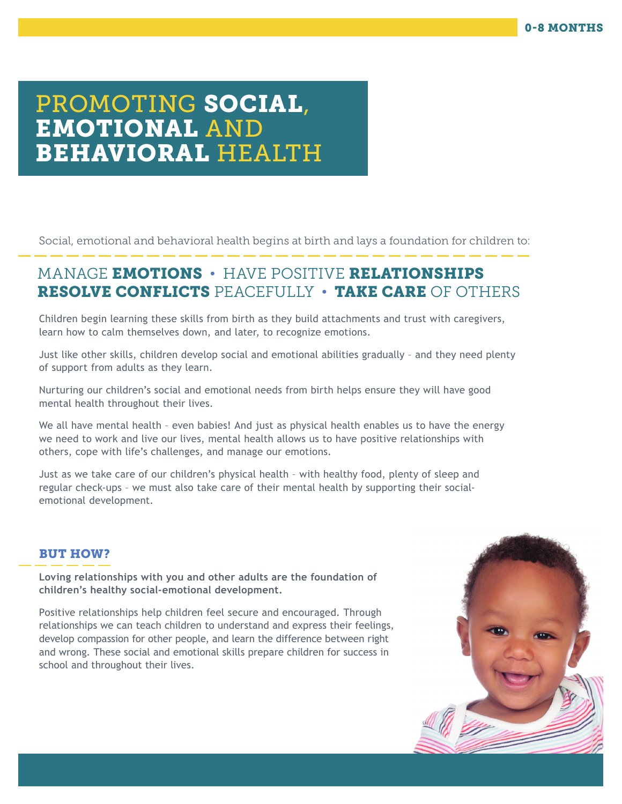# PROMOTING SOCIAL, EMOTIONAL AND BEHAVIORAL HEALTH

Social, emotional and behavioral health begins at birth and lays a foundation for children to:

# MANAGE EMOTIONS • HAVE POSITIVE RELATIONSHIPS RESOLVE CONFLICTS PEACEFULLY • TAKE CARE OF OTHERS

Children begin learning these skills from birth as they build attachments and trust with caregivers, learn how to calm themselves down, and later, to recognize emotions.

Just like other skills, children develop social and emotional abilities gradually – and they need plenty of support from adults as they learn.

Nurturing our children's social and emotional needs from birth helps ensure they will have good mental health throughout their lives.

We all have mental health - even babies! And just as physical health enables us to have the energy we need to work and live our lives, mental health allows us to have positive relationships with others, cope with life's challenges, and manage our emotions.

Just as we take care of our children's physical health – with healthy food, plenty of sleep and regular check-ups – we must also take care of their mental health by supporting their socialemotional development.

## BUT HOW?

**Loving relationships with you and other adults are the foundation of children's healthy social-emotional development.** 

Positive relationships help children feel secure and encouraged. Through relationships we can teach children to understand and express their feelings, develop compassion for other people, and learn the difference between right and wrong. These social and emotional skills prepare children for success in school and throughout their lives.